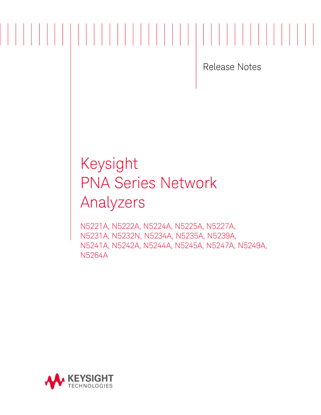Release Notes

# Keysight PNA Series Network Analyzers

N5221A, N5222A, N5224A, N5225A, N5227A, N5231A, N5232N, N5234A, N5235A, N5239A, N5241A, N5242A, N5244A, N5245A, N5247A, N5249A, N5264A

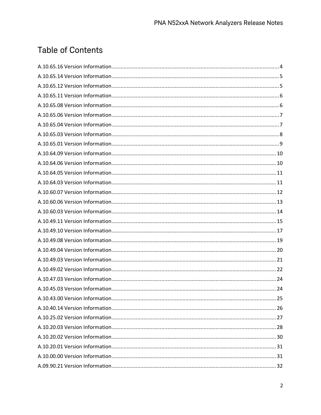## **Table of Contents**

| .25 |
|-----|
|     |
|     |
|     |
|     |
|     |
|     |
|     |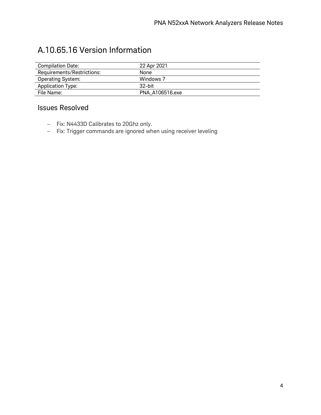### A.10.65.16 Version Information

| <b>Compilation Date:</b>   | 22 Apr 2021     |
|----------------------------|-----------------|
| Requirements/Restrictions: | None            |
| <b>Operating System:</b>   | Windows 7       |
| Application Type:          | $32$ -hit       |
| File Name:                 | PNA A106516.exe |

- − Fix: N4433D Calibrates to 20Ghz only.
- − Fix: Trigger commands are ignored when using receiver leveling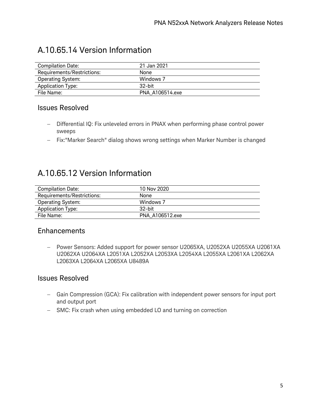### A.10.65.14 Version Information

| <b>Compilation Date:</b>   | 21 Jan 2021     |
|----------------------------|-----------------|
| Requirements/Restrictions: | None            |
| <b>Operating System:</b>   | Windows 7       |
| <b>Application Type:</b>   | $32$ -hit       |
| File Name:                 | PNA A106514.exe |

#### Issues Resolved

- − Differential IQ: Fix unleveled errors in PNAX when performing phase control power sweeps
- − Fix:"Marker Search" dialog shows wrong settings when Marker Number is changed

### A.10.65.12 Version Information

| <b>Compilation Date:</b>   | 10 Nov 2020     |
|----------------------------|-----------------|
| Requirements/Restrictions: | None            |
| <b>Operating System:</b>   | Windows 7       |
| Application Type:          | $32$ -bit       |
| File Name:                 | PNA A106512.exe |
|                            |                 |

#### Enhancements

− Power Sensors: Added support for power sensor U2065XA, U2052XA U2055XA U2061XA U2062XA U2064XA L2051XA L2052XA L2053XA L2054XA L2055XA L2061XA L2062XA L2063XA L2064XA L2065XA U8489A

- − Gain Compression (GCA): Fix calibration with independent power sensors for input port and output port
- − SMC: Fix crash when using embedded LO and turning on correction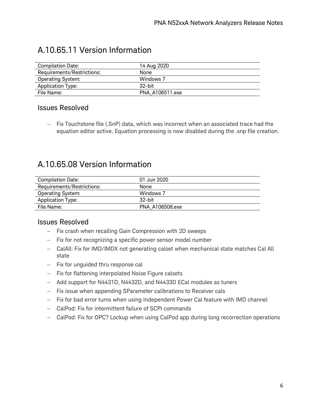| <b>Compilation Date:</b>   | 14 Aug 2020     |
|----------------------------|-----------------|
| Requirements/Restrictions: | <b>None</b>     |
| <b>Operating System:</b>   | Windows 7       |
| <b>Application Type:</b>   | $32$ -bit       |
| File Name:                 | PNA A106511.exe |

### A.10.65.11 Version Information

#### Issues Resolved

− Fix Touchstone file (.SnP) data, which was incorrect when an associated trace had the equation editor active. Equation processing is now disabled during the .snp file creation.

### A.10.65.08 Version Information

| <b>Compilation Date:</b>   | 01 Jun 2020     |
|----------------------------|-----------------|
| Requirements/Restrictions: | None            |
| <b>Operating System:</b>   | Windows 7       |
| <b>Application Type:</b>   | .32-bit         |
| File Name:                 | PNA A106508.exe |
|                            |                 |

- − Fix crash when recalling Gain Compression with 2D sweeps
- − Fix for not recognizing a specific power sensor model number
- − CalAll: Fix for IMD/IMDX not generating calset when mechanical state matches Cal All state
- − Fix for unguided thru response cal
- − Fix for flattening interpolated Noise Figure calsets
- − Add support for N4431D, N4432D, and N4433D ECal modules as tuners
- − Fix issue when appending SParameter calibrations to Receiver cals
- − Fix for bad error turns when using Independent Power Cal feature with IMD channel
- − CalPod: Fix for intermittent failure of SCPI commands
- − CalPod: Fix for OPC? Lockup when using CalPod app during long recorrection operations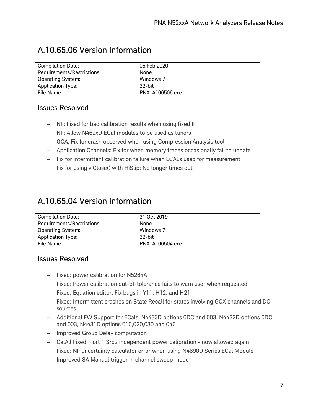### A.10.65.06 Version Information

| <b>Compilation Date:</b>   | 05 Feb 2020     |
|----------------------------|-----------------|
| Requirements/Restrictions: | None            |
| Operating System:          | Windows 7       |
| Application Type:          | $32$ -bit       |
| File Name:                 | PNA A106506.exe |

#### Issues Resolved

- − NF: Fixed for bad calibration results when using fixed IF
- − NF: Allow N469xD ECal modules to be used as tuners
- − GCA: Fix for crash observed when using Compression Analysis tool
- − Application Channels: Fix for when memory traces occasionally fail to update
- − Fix for intermittent calibration failure when ECALs used for measurement
- − Fix for using viClose() with HiSlip: No longer times out

### A.10.65.04 Version Information

| <b>Compilation Date:</b>   | 31 Oct 2019     |
|----------------------------|-----------------|
| Requirements/Restrictions: | None            |
| Operating System:          | Windows 7       |
| <b>Application Type:</b>   | $32$ -bit       |
| File Name:                 | PNA A106504.exe |
|                            |                 |

- − Fixed: power calibration for N5264A
- − Fixed: Power calibration out-of-tolerance fails to warn user when requested
- − Fixed: Equation editor: Fix bugs in Y11, H12, and H21
- − Fixed: Intermittent crashes on State Recall for states involving GCX channels and DC sources
- − Additional FW Support for ECals: N4433D options 0DC and 003, N4432D options 0DC and 003, N4431D options 010,020,030 and 040
- − Improved Group Delay computation
- − CalAll Fixed: Port 1 Src2 independent power calibration now allowed again
- − Fixed: NF uncertainty calculator error when using N4690D Series ECal Module
- − Improved SA Manual trigger in channel sweep mode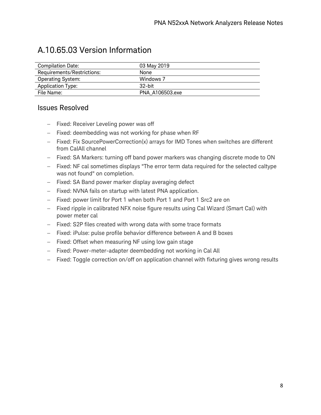### A.10.65.03 Version Information

| <b>Compilation Date:</b>   | 03 May 2019     |
|----------------------------|-----------------|
| Requirements/Restrictions: | None            |
| <b>Operating System:</b>   | Windows 7       |
| <b>Application Type:</b>   | $32$ -bit       |
| File Name:                 | PNA A106503.exe |

- − Fixed: Receiver Leveling power was off
- − Fixed: deembedding was not working for phase when RF
- − Fixed: Fix SourcePowerCorrection(x) arrays for IMD Tones when switches are different from CalAll channel
- − Fixed: SA Markers: turning off band power markers was changing discrete mode to ON
- − Fixed: NF cal sometimes displays "The error term data required for the selected caltype was not found" on completion.
- − Fixed: SA Band power marker display averaging defect
- − Fixed: NVNA fails on startup with latest PNA application.
- − Fixed: power limit for Port 1 when both Port 1 and Port 1 Src2 are on
- − Fixed ripple in calibrated NFX noise figure results using Cal Wizard (Smart Cal) with power meter cal
- − Fixed: S2P files created with wrong data with some trace formats
- − Fixed: iPulse: pulse profile behavior difference between A and B boxes
- − Fixed: Offset when measuring NF using low gain stage
- − Fixed: Power-meter-adapter deembedding not working in Cal All
- − Fixed: Toggle correction on/off on application channel with fixturing gives wrong results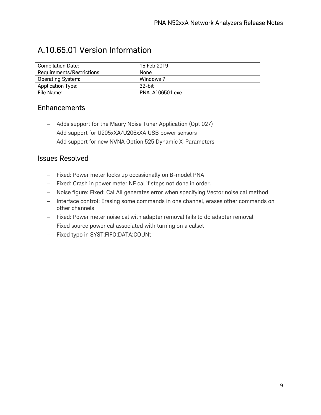### A.10.65.01 Version Information

| Compilation Date:          | 15 Feb 2019     |
|----------------------------|-----------------|
| Requirements/Restrictions: | None            |
| <b>Operating System:</b>   | Windows 7       |
| Application Type:          | $32$ -bit       |
| File Name:                 | PNA A106501.exe |

#### Enhancements

- − Adds support for the Maury Noise Tuner Application (Opt 027)
- − Add support for U205xXA/U206xXA USB power sensors
- − Add support for new NVNA Option 525 Dynamic X-Parameters

- − Fixed: Power meter locks up occasionally on B-model PNA
- − Fixed: Crash in power meter NF cal if steps not done in order.
- − Noise figure: Fixed: Cal All generates error when specifying Vector noise cal method
- − Interface control: Erasing some commands in one channel, erases other commands on other channels
- − Fixed: Power meter noise cal with adapter removal fails to do adapter removal
- − Fixed source power cal associated with turning on a calset
- − Fixed typo in SYST:FIFO:DATA:COUNt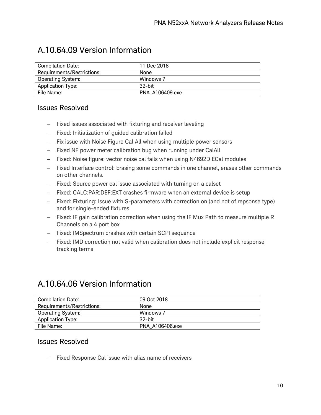### A.10.64.09 Version Information

| <b>Compilation Date:</b>   | 11 Dec 2018     |
|----------------------------|-----------------|
| Requirements/Restrictions: | None            |
| <b>Operating System:</b>   | Windows 7       |
| Application Type:          | 32-bit          |
| File Name:                 | PNA A106409.exe |

#### Issues Resolved

- − Fixed issues associated with fixturing and receiver leveling
- − Fixed: Initialization of guided calibration failed
- − Fix issue with Noise Figure Cal All when using multiple power sensors
- − Fixed NF power meter calibration bug when running under CalAll
- − Fixed: Noise figure: vector noise cal fails when using N4692D ECal modules
- − Fixed Interface control: Erasing some commands in one channel, erases other commands on other channels.
- − Fixed: Source power cal issue associated with turning on a calset
- − Fixed: CALC:PAR:DEF:EXT crashes firmware when an external device is setup
- − Fixed: Fixturing: Issue with S-parameters with correction on (and not of repsonse type) and for single-ended fixtures
- − Fixed: IF gain calibration correction when using the IF Mux Path to measure multiple R Channels on a 4 port box
- − Fixed: IMSpectrum crashes with certain SCPI sequence
- − Fixed: IMD correction not valid when calibration does not include explicit response tracking terms

### A.10.64.06 Version Information

| <b>Compilation Date:</b>   | 09 Oct 2018     |
|----------------------------|-----------------|
| Requirements/Restrictions: | None            |
| <b>Operating System:</b>   | Windows 7       |
| <b>Application Type:</b>   | $32$ -bit       |
| File Name:                 | PNA A106406.exe |

#### Issues Resolved

− Fixed Response Cal issue with alias name of receivers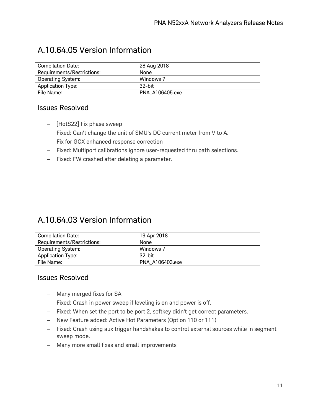### A.10.64.05 Version Information

| <b>Compilation Date:</b>   | 28 Aug 2018     |
|----------------------------|-----------------|
| Requirements/Restrictions: | None            |
| <b>Operating System:</b>   | Windows 7       |
| Application Type:          | $32$ -bit       |
| File Name:                 | PNA A106405.exe |

#### Issues Resolved

- − [HotS22] Fix phase sweep
- − Fixed: Can't change the unit of SMU's DC current meter from V to A.
- − Fix for GCX enhanced response correction
- − Fixed: Multiport calibrations ignore user-requested thru path selections.
- − Fixed: FW crashed after deleting a parameter.

### A.10.64.03 Version Information

| Compilation Date:          | 19 Apr 2018     |
|----------------------------|-----------------|
| Requirements/Restrictions: | None            |
| <b>Operating System:</b>   | Windows 7       |
| <b>Application Type:</b>   | $32$ -bit       |
| File Name:                 | PNA A106403.exe |

- − Many merged fixes for SA
- − Fixed: Crash in power sweep if leveling is on and power is off.
- − Fixed: When set the port to be port 2, softkey didn't get correct parameters.
- − New Feature added: Active Hot Parameters (Option 110 or 111)
- − Fixed: Crash using aux trigger handshakes to control external sources while in segment sweep mode.
- − Many more small fixes and small improvements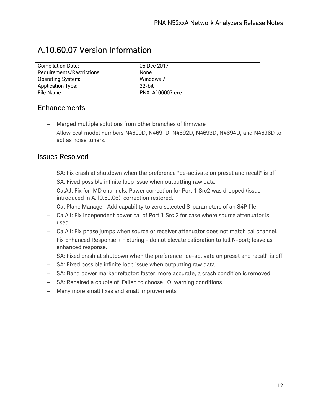### A.10.60.07 Version Information

| Compilation Date:          | 05 Dec 2017     |
|----------------------------|-----------------|
| Requirements/Restrictions: | None            |
| <b>Operating System:</b>   | Windows 7       |
| Application Type:          | $32$ -bit       |
| File Name:                 | PNA A106007.exe |

#### Enhancements

- − Merged multiple solutions from other branches of firmware
- − Allow Ecal model numbers N4690D, N4691D, N4692D, N4693D, N4694D, and N4696D to act as noise tuners.

- − SA: Fix crash at shutdown when the preference "de-activate on preset and recall" is off
- − SA: Fived possible infinite loop issue when outputting raw data
- − CalAll: Fix for IMD channels: Power correction for Port 1 Src2 was dropped (issue introduced in A.10.60.06), correction restored.
- − Cal Plane Manager: Add capability to zero selected S-parameters of an S4P file
- − CalAll: Fix independent power cal of Port 1 Src 2 for case where source attenuator is used.
- − CalAll: Fix phase jumps when source or receiver attenuator does not match cal channel.
- − Fix Enhanced Response + Fixturing do not elevate calibration to full N-port; leave as enhanced response.
- − SA: Fixed crash at shutdown when the preference "de-activate on preset and recall" is off
- − SA: Fixed possible infinite loop issue when outputting raw data
- − SA: Band power marker refactor: faster, more accurate, a crash condition is removed
- − SA: Repaired a couple of 'Failed to choose LO' warning conditions
- − Many more small fixes and small improvements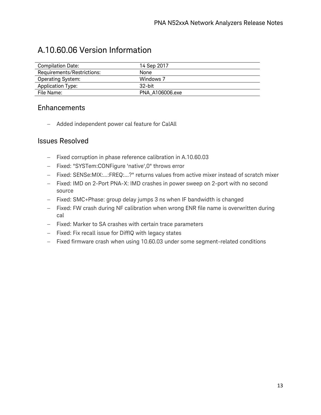### A.10.60.06 Version Information

| <b>Compilation Date:</b>   | 14 Sep 2017     |
|----------------------------|-----------------|
| Requirements/Restrictions: | None            |
| <b>Operating System:</b>   | Windows 7       |
| Application Type:          | $32$ -hit       |
| File Name:                 | PNA A106006.exe |

#### Enhancements

− Added independent power cal feature for CalAll

- − Fixed corruption in phase reference calibration in A.10.60.03
- − Fixed: "SYSTem:CONFigure 'native',0" throws error
- − Fixed: SENSe:MIX:...:FREQ:...?" returns values from active mixer instead of scratch mixer
- − Fixed: IMD on 2-Port PNA-X: IMD crashes in power sweep on 2-port with no second source
- − Fixed: SMC+Phase: group delay jumps 3 ns when IF bandwidth is changed
- − Fixed: FW crash during NF calibration when wrong ENR file name is overwritten during cal
- − Fixed: Marker to SA crashes with certain trace parameters
- − Fixed: Fix recall issue for DiffIQ with legacy states
- − Fixed firmware crash when using 10.60.03 under some segment-related conditions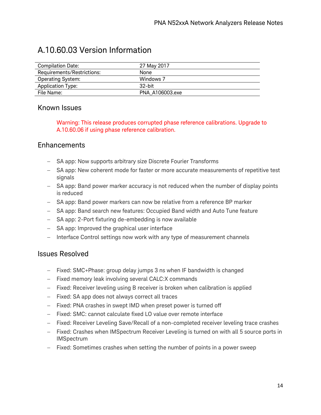### A.10.60.03 Version Information

| Compilation Date:          | 27 May 2017     |
|----------------------------|-----------------|
| Requirements/Restrictions: | None            |
| <b>Operating System:</b>   | Windows 7       |
| <b>Application Type:</b>   | $32$ -bit       |
| File Name:                 | PNA A106003.exe |

#### Known Issues

Warning: This release produces corrupted phase reference calibrations. Upgrade to A.10.60.06 if using phase reference calibration.

#### Enhancements

- − SA app: Now supports arbitrary size Discrete Fourier Transforms
- − SA app: New coherent mode for faster or more accurate measurements of repetitive test signals
- − SA app: Band power marker accuracy is not reduced when the number of display points is reduced
- − SA app: Band power markers can now be relative from a reference BP marker
- − SA app: Band search new features: Occupied Band width and Auto Tune feature
- − SA app: 2-Port fixturing de-embedding is now available
- − SA app: Improved the graphical user interface
- − Interface Control settings now work with any type of measurement channels

- − Fixed: SMC+Phase: group delay jumps 3 ns when IF bandwidth is changed
- − Fixed memory leak involving several CALC:X commands
- − Fixed: Receiver leveling using B receiver is broken when calibration is applied
- − Fixed: SA app does not always correct all traces
- − Fixed: PNA crashes in swept IMD when preset power is turned off
- − Fixed: SMC: cannot calculate fixed LO value over remote interface
- − Fixed: Receiver Leveling Save/Recall of a non-completed receiver leveling trace crashes
- − Fixed: Crashes when IMSpectrum Receiver Leveling is turned on with all 5 source ports in IMSpectrum
- − Fixed: Sometimes crashes when setting the number of points in a power sweep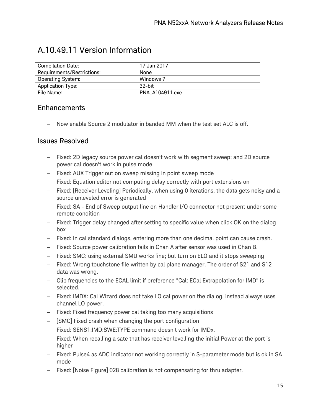| <b>Compilation Date:</b>   | 17 Jan 2017     |
|----------------------------|-----------------|
| Requirements/Restrictions: | None            |
| <b>Operating System:</b>   | Windows 7       |
| <b>Application Type:</b>   | $32$ -bit       |
| File Name:                 | PNA A104911.exe |

### A.10.49.11 Version Information

#### Enhancements

− Now enable Source 2 modulator in banded MM when the test set ALC is off.

- − Fixed: 2D legacy source power cal doesn't work with segment sweep; and 2D source power cal doesn't work in pulse mode
- − Fixed: AUX Trigger out on sweep missing in point sweep mode
- − Fixed: Equation editor not computing delay correctly with port extensions on
- − Fixed: [Receiver Leveling] Periodically, when using 0 iterations, the data gets noisy and a source unleveled error is generated
- − Fixed: SA End of Sweep output line on Handler I/O connector not present under some remote condition
- − Fixed: Trigger delay changed after setting to specific value when click OK on the dialog box
- − Fixed: In cal standard dialogs, entering more than one decimal point can cause crash.
- − Fixed: Source power calibration fails in Chan A after sensor was used in Chan B.
- − Fixed: SMC: using external SMU works fine; but turn on ELO and it stops sweeping
- − Fixed: Wrong touchstone file written by cal plane manager. The order of S21 and S12 data was wrong.
- − Clip frequencies to the ECAL limit if preference "Cal: ECal Extrapolation for IMD" is selected.
- − Fixed: IMDX: Cal Wizard does not take LO cal power on the dialog, instead always uses channel LO power.
- − Fixed: Fixed frequency power cal taking too many acquisitions
- − [SMC] Fixed crash when changing the port configuration
- − Fixed: SENS1:IMD:SWE:TYPE command doesn't work for IMDx.
- − Fixed: When recalling a sate that has receiver levelling the initial Power at the port is higher
- − Fixed: Pulse4 as ADC indicator not working correctly in S-parameter mode but is ok in SA mode
- − Fixed: [Noise Figure] 028 calibration is not compensating for thru adapter.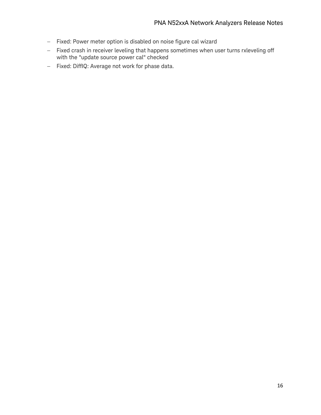- − Fixed: Power meter option is disabled on noise figure cal wizard
- − Fixed crash in receiver leveling that happens sometimes when user turns rxleveling off with the "update source power cal" checked
- − Fixed: DiffIQ: Average not work for phase data.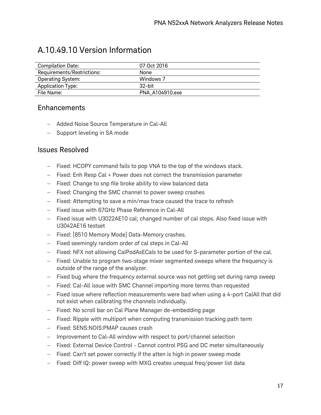### A.10.49.10 Version Information

| <b>Compilation Date:</b>   | 07 Oct 2016     |
|----------------------------|-----------------|
| Requirements/Restrictions: | None            |
| <b>Operating System:</b>   | Windows 7       |
| <b>Application Type:</b>   | $32$ -bit       |
| File Name:                 | PNA A104910.exe |

#### **Enhancements**

- − Added Noise Source Temperature in Cal-All
- − Support leveling in SA mode

- − Fixed: HCOPY command fails to pop VNA to the top of the windows stack.
- − Fixed: Enh Resp Cal + Power does not correct the transmission parameter
- − Fixed: Change to snp file broke ability to view balanced data
- − Fixed: Changing the SMC channel to power sweep crashes
- − Fixed: Attempting to save a min/max trace caused the trace to refresh
- − Fixed issue with 67GHz Phase Reference in Cal-All
- − Fixed issue with U3022AE10 cal; changed number of cal steps. Also fixed issue with U3042AE16 testset
- − Fixed: [8510 Memory Mode] Data-Memory crashes.
- − Fixed seemingly random order of cal steps in Cal-All
- − Fixed: NFX not allowing CalPodAsECals to be used for S-parameter portion of the cal.
- − Fixed: Unable to program two-stage mixer segmented sweeps where the frequency is outside of the range of the analyzer.
- − Fixed bug where the frequency external source was not getting set during ramp sweep
- − Fixed: Cal-All issue with SMC Channel importing more terms than requested
- − Fixed issue where reflection measurements were bad when using a 4-port CalAll that did not exist when calibrating the channels individually.
- − Fixed: No scroll bar on Cal Plane Manager de-embedding page
- − Fixed: Ripple with multiport when computing transmission tracking path term
- − Fixed: SENS:NOIS:PMAP causes crash
- − Improvement to Cal-All window with respect to port/channel selection
- − Fixed: External Device Control Cannot control PSG and DC meter simultaneously
- − Fixed: Can't set power correctly if the atten is high in power sweep mode
- − Fixed: Diff IQ: power sweep with MXG creates unequal freq/power list data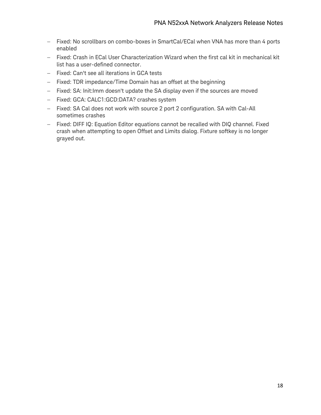- − Fixed: No scrollbars on combo-boxes in SmartCal/ECal when VNA has more than 4 ports enabled
- − Fixed: Crash in ECal User Characterization Wizard when the first cal kit in mechanical kit list has a user-defined connector.
- − Fixed: Can't see all iterations in GCA tests
- − Fixed: TDR impedance/Time Domain has an offset at the beginning
- − Fixed: SA: Init:Imm doesn't update the SA display even if the sources are moved
- − Fixed: GCA: CALC1:GCD:DATA? crashes system
- − Fixed: SA Cal does not work with source 2 port 2 configuration. SA with Cal-All sometimes crashes
- − Fixed: DIFF IQ: Equation Editor equations cannot be recalled with DIQ channel. Fixed crash when attempting to open Offset and Limits dialog. Fixture softkey is no longer grayed out.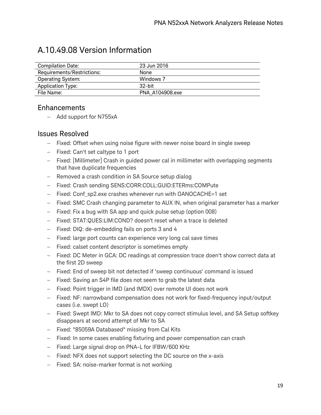### A.10.49.08 Version Information

| <b>Compilation Date:</b>   | 23 Jun 2016     |
|----------------------------|-----------------|
| Requirements/Restrictions: | None            |
| <b>Operating System:</b>   | Windows 7       |
| <b>Application Type:</b>   | $32$ -bit       |
| File Name:                 | PNA A104908.exe |

#### Enhancements

− Add support for N755xA

- − Fixed: Offset when using noise figure with newer noise board in single sweep
- − Fixed: Can't set caltype to 1 port
- − Fixed: [Millimeter] Crash in guided power cal in millimeter with overlapping segments that have duplicate frequencies
- − Removed a crash condition in SA Source setup dialog
- − Fixed: Crash sending SENS:CORR:COLL:GUID:ETERms:COMPute
- − Fixed: Conf\_sp2.exe crashes whenever run with OANOCACHE=1 set
- − Fixed: SMC Crash changing parameter to AUX IN, when original parameter has a marker
- − Fixed: Fix a bug with SA app and quick pulse setup (option 008)
- − Fixed: STAT:QUES:LIM:COND? doesn't reset when a trace is deleted
- − Fixed: DIQ: de-embedding fails on ports 3 and 4
- − Fixed: large port counts can experience very long cal save times
- − Fixed: calset content descriptor is sometimes empty
- − Fixed: DC Meter in GCA: DC readings at compression trace doen't show correct data at the first 2D sweep
- − Fixed: End of sweep bit not detected if 'sweep continuous' command is issued
- − Fixed: Saving an S4P file does not seem to grab the latest data
- − Fixed: Point trigger in IMD (and IMDX) over remote UI does not work
- − Fixed: NF: narrowband compensation does not work for fixed-frequency input/output cases (i.e. swept LO)
- − Fixed: Swept IMD: Mkr to SA does not copy correct stimulus level, and SA Setup softkey disappears at second attempt of Mkr to SA
- − Fixed: "85059A Databased" missing from Cal Kits
- − Fixed: In some cases enabling fixturing and power compensation can crash
- − Fixed: Large signal drop on PNA-L for IFBW/600 KHz
- − Fixed: NFX does not support selecting the DC source on the x-axis
- − Fixed: SA: noise-marker format is not working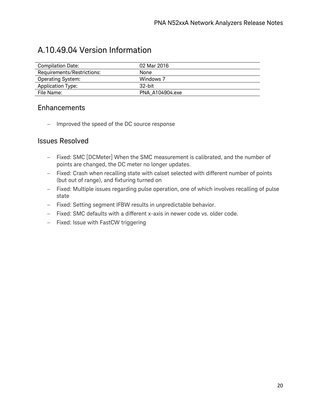### A.10.49.04 Version Information

| <b>Compilation Date:</b>   | 02 Mar 2016     |
|----------------------------|-----------------|
| Requirements/Restrictions: | None            |
| <b>Operating System:</b>   | Windows 7       |
| <b>Application Type:</b>   | 32-bit          |
| File Name:                 | PNA A104904.exe |

#### Enhancements

− Improved the speed of the DC source response

- − Fixed: SMC [DCMeter] When the SMC measurement is calibrated, and the number of points are changed, the DC meter no longer updates.
- − Fixed: Crash when recalling state with calset selected with different number of points (but out of range), and fixturing turned on
- − Fixed: Multiple issues regarding pulse operation, one of which involves recalling of pulse state
- − Fixed: Setting segment IFBW results in unpredictable behavior.
- − Fixed: SMC defaults with a different x-axis in newer code vs. older code.
- − Fixed: Issue with FastCW triggering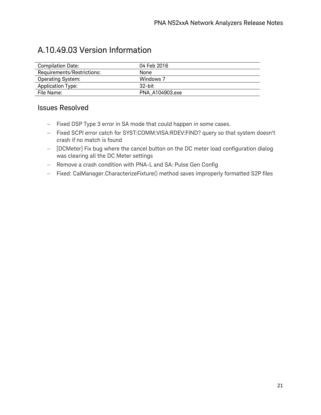### A.10.49.03 Version Information

| <b>Compilation Date:</b>   | 04 Feb 2016     |
|----------------------------|-----------------|
| Requirements/Restrictions: | None            |
| <b>Operating System:</b>   | Windows 7       |
| <b>Application Type:</b>   | $32$ -bit       |
| File Name:                 | PNA A104903.exe |

- − Fixed DSP Type 3 error in SA mode that could happen in some cases.
- − Fixed SCPI error catch for SYST:COMM:VISA:RDEV:FIND? query so that system doesn't crash if no match is found
- − [DCMeter] Fix bug where the cancel button on the DC meter load configuration dialog was clearing all the DC Meter settings
- − Remove a crash condition with PNA-L and SA: Pulse Gen Config
- − Fixed: CalManager.CharacterizeFixture() method saves improperly formatted S2P files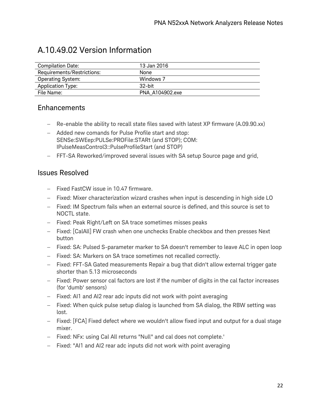### A.10.49.02 Version Information

| Compilation Date:          | 13 Jan 2016     |
|----------------------------|-----------------|
| Requirements/Restrictions: | None            |
| <b>Operating System:</b>   | Windows 7       |
| <b>Application Type:</b>   | $32$ -bit       |
| File Name:                 | PNA A104902.exe |

#### Enhancements

- − Re-enable the ability to recall state files saved with latest XP firmware (A.09.90.xx)
- − Added new comands for Pulse Profile start and stop: SENSe:SWEep:PULSe:PROFile:STARt (and STOP); COM: IPulseMeasControl3::PulseProfileStart (and STOP)
- − FFT-SA Reworked/improved several issues with SA setup Source page and grid,

- − Fixed FastCW issue in 10.47 firmware.
- − Fixed: Mixer characterization wizard crashes when input is descending in high side LO
- − Fixed: IM Spectrum fails when an external source is defined, and this source is set to NOCTL state.
- − Fixed: Peak Right/Left on SA trace sometimes misses peaks
- − Fixed: [CalAll] FW crash when one unchecks Enable checkbox and then presses Next button
- − Fixed: SA: Pulsed S-parameter marker to SA doesn't remember to leave ALC in open loop
- − Fixed: SA: Markers on SA trace sometimes not recalled correctly.
- − Fixed: FFT-SA Gated measurements Repair a bug that didn't allow external trigger gate shorter than 5.13 microseconds
- − Fixed: Power sensor cal factors are lost if the number of digits in the cal factor increases (for 'dumb' sensors)
- − Fixed: AI1 and AI2 rear adc inputs did not work with point averaging
- − Fixed: When quick pulse setup dialog is launched from SA dialog, the RBW setting was lost.
- − Fixed: [FCA] Fixed defect where we wouldn't allow fixed input and output for a dual stage mixer.
- − Fixed: NFx: using Cal All returns "Null" and cal does not complete.'
- − Fixed: "AI1 and AI2 rear adc inputs did not work with point averaging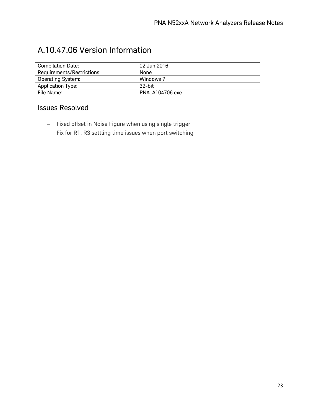### A.10.47.06 Version Information

| <b>Compilation Date:</b>   | 02 Jun 2016     |
|----------------------------|-----------------|
| Requirements/Restrictions: | None            |
| <b>Operating System:</b>   | Windows 7       |
| Application Type:          | $32$ -bit       |
| File Name:                 | PNA A104706.exe |

- − Fixed offset in Noise Figure when using single trigger
- − Fix for R1, R3 settling time issues when port switching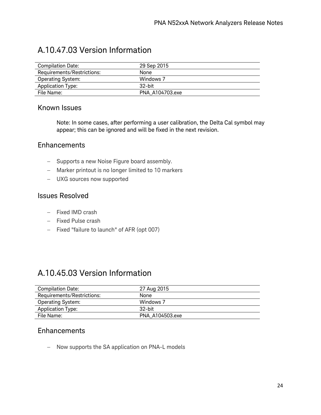### A.10.47.03 Version Information

| <b>Compilation Date:</b>   | 29 Sep 2015     |
|----------------------------|-----------------|
| Requirements/Restrictions: | None            |
| <b>Operating System:</b>   | Windows 7       |
| <b>Application Type:</b>   | 32-bit          |
| File Name:                 | PNA A104703.exe |

#### Known Issues

Note: In some cases, after performing a user calibration, the Delta Cal symbol may appear; this can be ignored and will be fixed in the next revision.

#### **Enhancements**

- − Supports a new Noise Figure board assembly.
- − Marker printout is no longer limited to 10 markers
- − UXG sources now supported

#### Issues Resolved

- − Fixed IMD crash
- − Fixed Pulse crash
- − Fixed "failure to launch" of AFR (opt 007)

### A.10.45.03 Version Information

| <b>Compilation Date:</b>   | 27 Aug 2015     |
|----------------------------|-----------------|
| Requirements/Restrictions: | None            |
| Operating System:          | Windows 7       |
| <b>Application Type:</b>   | $32$ -bit       |
| File Name:                 | PNA A104503.exe |

#### **Enhancements**

− Now supports the SA application on PNA-L models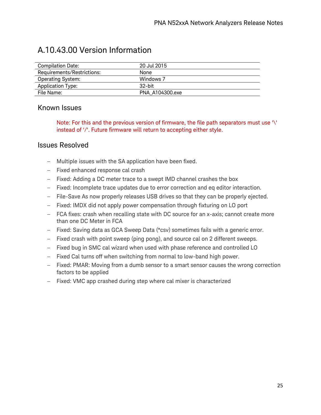| Compilation Date:          | 20 Jul 2015     |
|----------------------------|-----------------|
| Requirements/Restrictions: | None            |
| <b>Operating System:</b>   | Windows 7       |
| <b>Application Type:</b>   | $32$ -bit       |
| File Name:                 | PNA A104300.exe |

### A.10.43.00 Version Information

#### Known Issues

Note: For this and the previous version of firmware, the file path separators must use '\' instead of '/'. Future firmware will return to accepting either style.

- − Multiple issues with the SA application have been fixed.
- − Fixed enhanced response cal crash
- − Fixed: Adding a DC meter trace to a swept IMD channel crashes the box
- − Fixed: Incomplete trace updates due to error correction and eq editor interaction.
- − File-Save As now properly releases USB drives so that they can be properly ejected.
- − Fixed: IMDX did not apply power compensation through fixturing on LO port
- − FCA fixes: crash when recalling state with DC source for an x-axis; cannot create more than one DC Meter in FCA
- − Fixed: Saving data as GCA Sweep Data (\*csv) sometimes fails with a generic error.
- − Fixed crash with point sweep (ping pong), and source cal on 2 different sweeps.
- − Fixed bug in SMC cal wizard when used with phase reference and controlled LO
- − Fixed Cal turns off when switching from normal to low-band high power.
- − Fixed: PMAR: Moving from a dumb sensor to a smart sensor causes the wrong correction factors to be applied
- − Fixed: VMC app crashed during step where cal mixer is characterized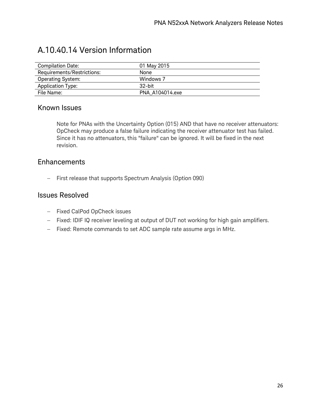| <b>Compilation Date:</b>   | 01 May 2015     |
|----------------------------|-----------------|
| Requirements/Restrictions: | None            |
| <b>Operating System:</b>   | Windows 7       |
| <b>Application Type:</b>   | $32$ -bit       |
| File Name:                 | PNA A104014.exe |

### A.10.40.14 Version Information

#### Known Issues

Note for PNAs with the Uncertainty Option (015) AND that have no receiver attenuators: OpCheck may produce a false failure indicating the receiver attenuator test has failed. Since it has no attenuators, this "failure" can be ignored. It will be fixed in the next revision.

#### **Enhancements**

− First release that supports Spectrum Analysis (Option 090)

- − Fixed CalPod OpCheck issues
- − Fixed: IDIF IQ receiver leveling at output of DUT not working for high gain amplifiers.
- − Fixed: Remote commands to set ADC sample rate assume args in MHz.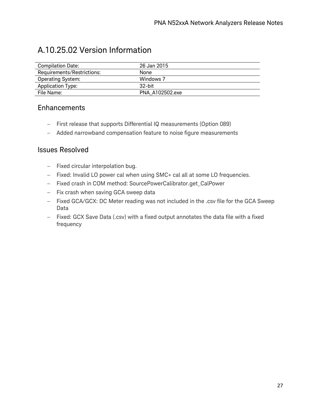### A.10.25.02 Version Information

| Compilation Date:          | 26 Jan 2015     |
|----------------------------|-----------------|
| Requirements/Restrictions: | None            |
| <b>Operating System:</b>   | Windows 7       |
| Application Type:          | $32$ -bit       |
| File Name:                 | PNA A102502.exe |

#### Enhancements

- − First release that supports Differential IQ measurements (Option 089)
- − Added narrowband compensation feature to noise figure measurements

- − Fixed circular interpolation bug.
- − Fixed: Invalid LO power cal when using SMC+ cal all at some LO frequencies.
- − Fixed crash in COM method: SourcePowerCalibrator.get\_CalPower
- − Fix crash when saving GCA sweep data
- − Fixed GCA/GCX: DC Meter reading was not included in the .csv file for the GCA Sweep Data
- − Fixed: GCX Save Data (.csv) with a fixed output annotates the data file with a fixed frequency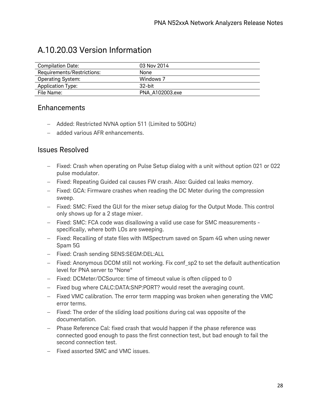### A.10.20.03 Version Information

| <b>Compilation Date:</b>   | 03 Nov 2014     |
|----------------------------|-----------------|
| Requirements/Restrictions: | None            |
| <b>Operating System:</b>   | Windows 7       |
| <b>Application Type:</b>   | $32$ -bit       |
| File Name:                 | PNA A102003.exe |

#### Enhancements

- − Added: Restricted NVNA option 511 (Limited to 50GHz)
- − added various AFR enhancements.

- − Fixed: Crash when operating on Pulse Setup dialog with a unit without option 021 or 022 pulse modulator.
- − Fixed: Repeating Guided cal causes FW crash. Also: Guided cal leaks memory.
- − Fixed: GCA: Firmware crashes when reading the DC Meter during the compression sweep.
- − Fixed: SMC: Fixed the GUI for the mixer setup dialog for the Output Mode. This control only shows up for a 2 stage mixer.
- − Fixed: SMC: FCA code was disallowing a valid use case for SMC measurements specifically, where both LOs are sweeping.
- − Fixed: Recalling of state files with IMSpectrum saved on Spam 4G when using newer Spam 5G
- − Fixed: Crash sending SENS:SEGM:DEL:ALL
- − Fixed: Anonymous DCOM still not working. Fix conf sp2 to set the default authentication level for PNA server to "None"
- − Fixed: DCMeter/DCSource: time of timeout value is often clipped to 0
- − Fixed bug where CALC:DATA:SNP:PORT? would reset the averaging count.
- − Fixed VMC calibration. The error term mapping was broken when generating the VMC error terms.
- − Fixed: The order of the sliding load positions during cal was opposite of the documentation.
- − Phase Reference Cal: fixed crash that would happen if the phase reference was connected good enough to pass the first connection test, but bad enough to fail the second connection test.
- − Fixed assorted SMC and VMC issues.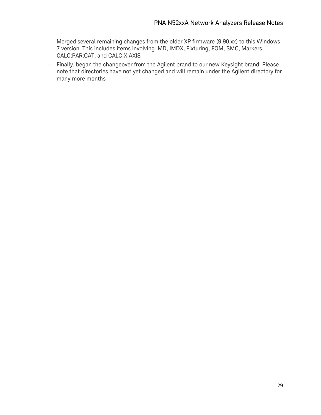- − Merged several remaining changes from the older XP firmware (9.90.xx) to this Windows 7 version. This includes items involving IMD, IMDX, Fixturing, FOM, SMC, Markers, CALC:PAR:CAT, and CALC:X:AXIS
- − Finally, began the changeover from the Agilent brand to our new Keysight brand. Please note that directories have not yet changed and will remain under the Agilent directory for many more months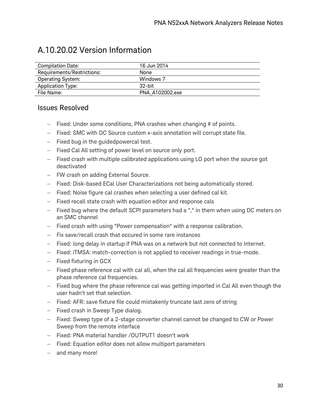### A.10.20.02 Version Information

| <b>Compilation Date:</b>   | 16 Jun 2014     |
|----------------------------|-----------------|
| Requirements/Restrictions: | None            |
| <b>Operating System:</b>   | Windows 7       |
| Application Type:          | $32$ -hit       |
| File Name:                 | PNA A102002.exe |

- − Fixed: Under some conditions, PNA crashes when changing # of points.
- − Fixed: SMC with DC Source custom x-axis annotation will corrupt state file.
- − Fixed bug in the guidedpowercal test.
- − Fixed Cal All setting of power level on source only port.
- − Fixed crash with multiple calibrated applications using LO port when the source got deactivated
- − FW crash on adding External Source.
- − Fixed: Disk-based ECal User Characterizations not being automatically stored.
- − Fixed: Noise figure cal crashes when selecting a user defined cal kit.
- − Fixed recall state crash with equation editor and response cals
- − Fixed bug where the default SCPI parameters had a "," in them when using DC meters on an SMC channel
- − Fixed crash with using "Power compensation" with a response calibration.
- − Fix save/recall crash that occured in some rare instances
- − Fixed: long delay in startup if PNA was on a network but not connected to Internet.
- − Fixed: iTMSA: match-correction is not applied to receiver readings in true-mode.
- − Fixed fixturing in GCX
- − Fixed phase reference cal with cal all, when the cal all frequencies were greater than the phase reference cal frequencies.
- − Fixed bug where the phase reference cal was getting imported in Cal All even though the user hadn't set that selection.
- − Fixed: AFR: save fixture file could mistakenly truncate last zero of string
- − Fixed crash in Sweep Type dialog.
- − Fixed: Sweep type of a 2-stage converter channel cannot be changed to CW or Power Sweep from the remote interface
- − Fixed: PNA material handler /OUTPUT1 doesn't work
- − Fixed: Equation editor does not allow multiport parameters
- − and many more!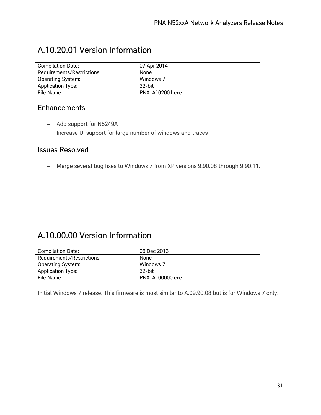### A.10.20.01 Version Information

| <b>Compilation Date:</b>   | 07 Apr 2014     |
|----------------------------|-----------------|
| Requirements/Restrictions: | None            |
| <b>Operating System:</b>   | Windows 7       |
| Application Type:          | $32$ -bit       |
| File Name:                 | PNA A102001.exe |

#### Enhancements

- − Add support for N5249A
- − Increase UI support for large number of windows and traces

#### Issues Resolved

− Merge several bug fixes to Windows 7 from XP versions 9.90.08 through 9.90.11.

### A.10.00.00 Version Information

| <b>Compilation Date:</b>   | 05 Dec 2013     |
|----------------------------|-----------------|
| Requirements/Restrictions: | None            |
| <b>Operating System:</b>   | Windows 7       |
| <b>Application Type:</b>   | $32$ -bit       |
| File Name:                 | PNA A100000.exe |

Initial Windows 7 release. This firmware is most similar to A.09.90.08 but is for Windows 7 only.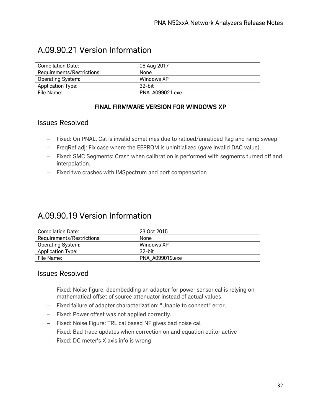| <b>Compilation Date:</b>   | 06 Aug 2017     |
|----------------------------|-----------------|
| Requirements/Restrictions: | None            |
| <b>Operating System:</b>   | Windows XP      |
| <b>Application Type:</b>   | $32$ -bit       |
| File Name:                 | PNA A099021.exe |

### A.09.90.21 Version Information

#### **FINAL FIRMWARE VERSION FOR WINDOWS XP**

#### Issues Resolved

- − Fixed: On PNAL, Cal is invalid sometimes due to ratioed/unratioed flag and ramp sweep
- − FreqRef adj: Fix case where the EEPROM is uninitialized (gave invalid DAC value).
- − Fixed: SMC Segments: Crash when calibration is performed with segments turned off and interpolation.
- − Fixed two crashes with IMSpectrum and port compensation

### A.09.90.19 Version Information

| <b>Compilation Date:</b>   | 23 Oct 2015     |  |
|----------------------------|-----------------|--|
| Requirements/Restrictions: | None            |  |
| <b>Operating System:</b>   | Windows XP      |  |
| <b>Application Type:</b>   | $32$ -hit       |  |
| File Name:                 | PNA A099019.exe |  |
|                            |                 |  |

- − Fixed: Noise figure: deembedding an adapter for power sensor cal is relying on mathematical offset of source attenuator instead of actual values
- − Fixed failure of adapter characterization: "Unable to connect" error.
- − Fixed: Power offset was not applied correctly.
- − Fixed: Noise Figure: TRL cal based NF gives bad noise cal
- − Fixed: Bad trace updates when correction on and equation editor active
- − Fixed: DC meter's X axis info is wrong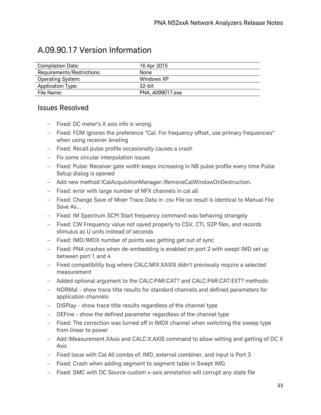### A.09.90.17 Version Information

| <b>Compilation Date:</b>   | 16 Apr 2015     |
|----------------------------|-----------------|
| Requirements/Restrictions: | None            |
| <b>Operating System:</b>   | Windows XP      |
| <b>Application Type:</b>   | $32$ -bit       |
| File Name:                 | PNA A099017.exe |

- − Fixed: DC meter's X axis info is wrong.
- − Fixed: FOM ignores the preference "Cal: For frequency offset, use primary frequencies" when using receiver leveling
- − Fixed: Recall pulse profile occasionally causes a crash
- − Fix some circular interpolation issues
- − Fixed: Pulse: Receiver gate width keeps increasing in NB pulse profile every time Pulse Setup dialog is opened
- − Add new method ICalAcquisitionManager::RemoveCalWindowOnDestruction.
- − Fixed: error with large number of NFX channels in cal all
- − Fixed: Change Save of Mixer Trace Data in .csv File so result is identical to Manual File Save As...
- − Fixed: IM Spectrum SCPI Start frequency command was behaving strangely
- − Fixed: CW Frequency value not saved properly to CSV, CTI, S2P files, and records stimulus as U units instead of seconds
- − Fixed: IMD/IMDX number of points was getting get out of sync
- − Fixed: PNA crashes when de-embedding is enabled on port 2 with swept IMD set up between port 1 and 4
- − Fixed compatibility bug where CALC:MIX:XAXIS didn't previously require a selected measurement
- − Added optional argument to the CALC:PAR:CAT? and CALC:PAR:CAT:EXT? methods:
- − NORMal show trace title results for standard channels and defined parameters for application channels
- − DISPlay show trace title results regardless of the channel type
- − DEFine show the defined parameter regardless of the channel type
- − Fixed: The correction was turned off in IMDX channel when switching the sweep type from linear to power
- − Add IMeasurement.XAxis and CALC:X:AXIS command to allow setting and getting of DC X Axis
- − Fixed issue with Cal All combo of: IMD, external combiner, and input is Port 3
- − Fixed: Crash when adding segment to segment table in Swept IMD.
- − Fixed: SMC with DC Source custom x-axis annotation will corrupt any state file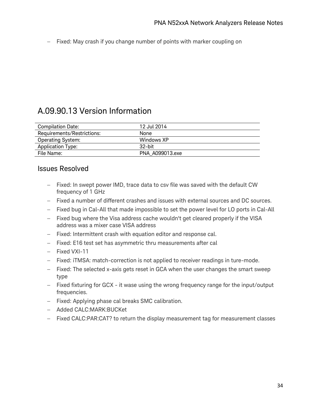− Fixed: May crash if you change number of points with marker coupling on

### A.09.90.13 Version Information

| <b>Compilation Date:</b>   | 12 Jul 2014     |
|----------------------------|-----------------|
| Requirements/Restrictions: | None            |
| <b>Operating System:</b>   | Windows XP      |
| <b>Application Type:</b>   | .32-hit         |
| File Name:                 | PNA A099013.exe |

- − Fixed: In swept power IMD, trace data to csv file was saved with the default CW frequency of 1 GHz
- − Fixed a number of different crashes and issues with external sources and DC sources.
- − Fixed bug in Cal-All that made impossible to set the power level for LO ports in Cal-All
- − Fixed bug where the Visa address cache wouldn't get cleared properly if the VISA address was a mixer case VISA address
- − Fixed: Intermittent crash with equation editor and response cal.
- − Fixed: E16 test set has asymmetric thru measurements after cal
- − Fixed VXI-11
- − Fixed: iTMSA: match-correction is not applied to receiver readings in ture-mode.
- − Fixed: The selected x-axis gets reset in GCA when the user changes the smart sweep type
- − Fixed fixturing for GCX it wase using the wrong frequency range for the input/output frequencies.
- − Fixed: Applying phase cal breaks SMC calibration.
- − Added CALC:MARK:BUCKet
- − Fixed CALC:PAR:CAT? to return the display measurement tag for measurement classes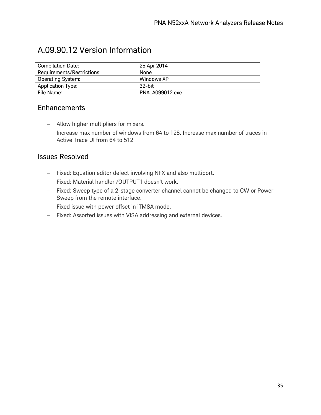### A.09.90.12 Version Information

| <b>Compilation Date:</b>   | 25 Apr 2014     |
|----------------------------|-----------------|
| Requirements/Restrictions: | None            |
| <b>Operating System:</b>   | Windows XP      |
| Application Type:          | $32$ -bit       |
| File Name:                 | PNA A099012.exe |

#### **Enhancements**

- − Allow higher multipliers for mixers.
- − Increase max number of windows from 64 to 128. Increase max number of traces in Active Trace UI from 64 to 512

- − Fixed: Equation editor defect involving NFX and also multiport.
- − Fixed: Material handler /OUTPUT1 doesn't work.
- − Fixed: Sweep type of a 2-stage converter channel cannot be changed to CW or Power Sweep from the remote interface.
- − Fixed issue with power offset in iTMSA mode.
- − Fixed: Assorted issues with VISA addressing and external devices.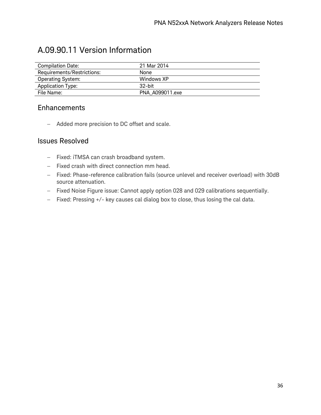| <b>Compilation Date:</b>   | 21 Mar 2014     |
|----------------------------|-----------------|
| Requirements/Restrictions: | <b>None</b>     |
| <b>Operating System:</b>   | Windows XP      |
| <b>Application Type:</b>   | $32$ -bit       |
| File Name:                 | PNA A099011.exe |

### A.09.90.11 Version Information

#### Enhancements

− Added more precision to DC offset and scale.

- − Fixed: iTMSA can crash broadband system.
- − Fixed crash with direct connection mm head.
- − Fixed: Phase-reference calibration fails (source unlevel and receiver overload) with 30dB source attenuation.
- − Fixed Noise Figure issue: Cannot apply option 028 and 029 calibrations sequentially.
- − Fixed: Pressing +/- key causes cal dialog box to close, thus losing the cal data.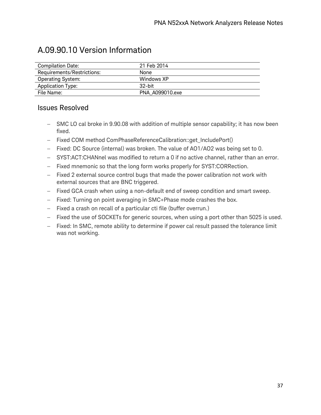| <b>Compilation Date:</b>   | 21 Feb 2014     |
|----------------------------|-----------------|
| Requirements/Restrictions: | None            |
| <b>Operating System:</b>   | Windows XP      |
| Application Type:          | .32-bit         |
| File Name:                 | PNA A099010.exe |

- − SMC LO cal broke in 9.90.08 with addition of multiple sensor capability; it has now been fixed.
- − Fixed COM method ComPhaseReferenceCalibration::get\_IncludePort()
- − Fixed: DC Source (internal) was broken. The value of AO1/AO2 was being set to 0.
- − SYST:ACT:CHANnel was modified to return a 0 if no active channel, rather than an error.
- − Fixed mnemonic so that the long form works properly for SYST:CORRection.
- − Fixed 2 external source control bugs that made the power calibration not work with external sources that are BNC triggered.
- − Fixed GCA crash when using a non-default end of sweep condition and smart sweep.
- − Fixed: Turning on point averaging in SMC+Phase mode crashes the box.
- − Fixed a crash on recall of a particular cti file (buffer overrun.)
- − Fixed the use of SOCKETs for generic sources, when using a port other than 5025 is used.
- − Fixed: In SMC, remote ability to determine if power cal result passed the tolerance limit was not working.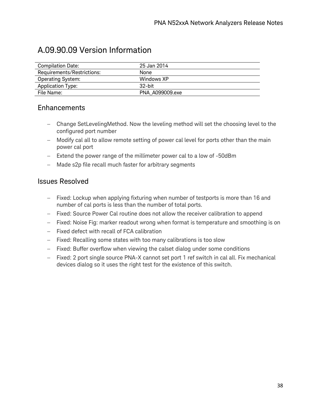### A.09.90.09 Version Information

| <b>Compilation Date:</b>   | 25 Jan 2014     |
|----------------------------|-----------------|
| Requirements/Restrictions: | None            |
| <b>Operating System:</b>   | Windows XP      |
| Application Type:          | $32$ -hit       |
| File Name:                 | PNA A099009.exe |

#### Enhancements

- − Change SetLevelingMethod. Now the leveling method will set the choosing level to the configured port number
- − Modify cal all to allow remote setting of power cal level for ports other than the main power cal port
- − Extend the power range of the millimeter power cal to a low of -50dBm
- − Made s2p file recall much faster for arbitrary segments

- − Fixed: Lockup when applying fixturing when number of testports is more than 16 and number of cal ports is less than the number of total ports.
- − Fixed: Source Power Cal routine does not allow the receiver calibration to append
- − Fixed: Noise Fig: marker readout wrong when format is temperature and smoothing is on
- − Fixed defect with recall of FCA calibration
- − Fixed: Recalling some states with too many calibrations is too slow
- − Fixed: Buffer overflow when viewing the calset dialog under some conditions
- − Fixed: 2 port single source PNA-X cannot set port 1 ref switch in cal all. Fix mechanical devices dialog so it uses the right test for the existence of this switch.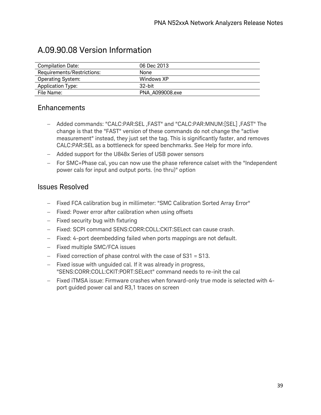| <b>Compilation Date:</b>   | 06 Dec 2013     |
|----------------------------|-----------------|
| Requirements/Restrictions: | None            |
| Operating System:          | Windows XP      |
| Application Type:          | .32-bit         |
| File Name:                 | PNA A099008.exe |

### A.09.90.08 Version Information

#### Enhancements

- − Added commands: "CALC:PAR:SEL ,FAST" and "CALC:PAR:MNUM:[SEL] ,FAST" The change is that the "FAST" version of these commands do not change the "active measurement" instead, they just set the tag. This is significantly faster, and removes CALC:PAR:SEL as a bottleneck for speed benchmarks. See Help for more info.
- − Added support for the U848x Series of USB power sensors
- − For SMC+Phase cal, you can now use the phase reference calset with the "Independent power cals for input and output ports. (no thru)" option

- − Fixed FCA calibration bug in millimeter: "SMC Calibration Sorted Array Error"
- − Fixed: Power error after calibration when using offsets
- − Fixed security bug with fixturing
- − Fixed: SCPI command SENS:CORR:COLL:CKIT:SELect can cause crash.
- − Fixed: 4-port deembedding failed when ports mappings are not default.
- − Fixed multiple SMC/FCA issues
- − Fixed correction of phase control with the case of S31 = S13.
- − Fixed issue with unguided cal. If it was already in progress, "SENS:CORR:COLL:CKIT:PORT:SELect" command needs to re-init the cal
- − Fixed iTMSA issue: Firmware crashes when forward-only true mode is selected with 4 port guided power cal and R3,1 traces on screen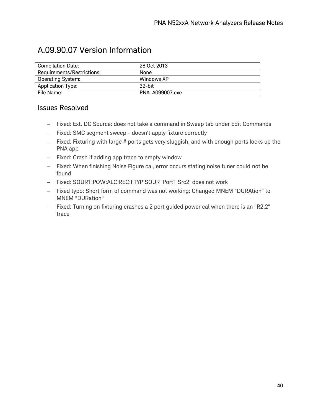### A.09.90.07 Version Information

| <b>Compilation Date:</b>   | 28 Oct 2013     |
|----------------------------|-----------------|
| Requirements/Restrictions: | None            |
| <b>Operating System:</b>   | Windows XP      |
| Application Type:          | $32$ -bit       |
| File Name:                 | PNA A099007.exe |

- − Fixed: Ext. DC Source: does not take a command in Sweep tab under Edit Commands
- − Fixed: SMC segment sweep doesn't apply fixture correctly
- − Fixed: Fixturing with large # ports gets very sluggish, and with enough ports locks up the PNA app
- − Fixed: Crash if adding app trace to empty window
- − Fixed: When finishing Noise Figure cal, error occurs stating noise tuner could not be found
- − Fixed: SOUR1:POW:ALC:REC:FTYP SOUR 'Port1 Src2' does not work
- − Fixed typo: Short form of command was not working: Changed MNEM "DURAtion" to MNEM "DURation"
- − Fixed: Turning on fixturing crashes a 2 port guided power cal when there is an "R2,2" trace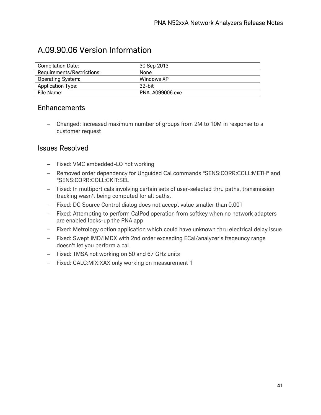| <b>Compilation Date:</b>   | 30 Sep 2013     |  |
|----------------------------|-----------------|--|
| Requirements/Restrictions: | <b>None</b>     |  |
| <b>Operating System:</b>   | Windows XP      |  |
| <b>Application Type:</b>   | $32$ -bit       |  |
| File Name:                 | PNA A099006.exe |  |

### A.09.90.06 Version Information

#### Enhancements

− Changed: Increased maximum number of groups from 2M to 10M in response to a customer request

- − Fixed: VMC embedded-LO not working
- − Removed order dependency for Unguided Cal commands "SENS:CORR:COLL:METH" and "SENS:CORR:COLL:CKIT:SEL
- − Fixed: In multiport cals involving certain sets of user-selected thru paths, transmission tracking wasn't being computed for all paths.
- − Fixed: DC Source Control dialog does not accept value smaller than 0.001
- − Fixed: Attempting to perform CalPod operation from softkey when no network adapters are enabled locks-up the PNA app
- − Fixed: Metrology option application which could have unknown thru electrical delay issue
- − Fixed: Swept IMD/IMDX with 2nd order exceeding ECal/analyzer's freqeuncy range doesn't let you perform a cal
- − Fixed: TMSA not working on 50 and 67 GHz units
- − Fixed: CALC:MIX:XAX only working on measurement 1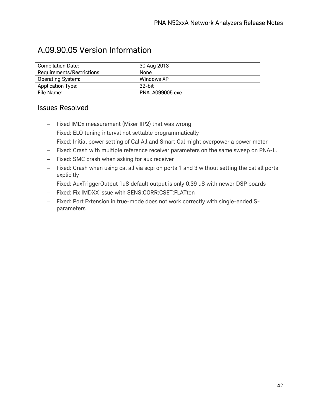### A.09.90.05 Version Information

| <b>Compilation Date:</b>   | 30 Aug 2013     |
|----------------------------|-----------------|
| Requirements/Restrictions: | None            |
| <b>Operating System:</b>   | Windows XP      |
| Application Type:          | $32$ -bit       |
| File Name:                 | PNA A099005.exe |

- − Fixed IMDx measurement (Mixer IIP2) that was wrong
- − Fixed: ELO tuning interval not settable programmatically
- − Fixed: Initial power setting of Cal All and Smart Cal might overpower a power meter
- − Fixed: Crash with multiple reference receiver parameters on the same sweep on PNA-L.
- − Fixed: SMC crash when asking for aux receiver
- − Fixed: Crash when using cal all via scpi on ports 1 and 3 without setting the cal all ports explicitly
- − Fixed: AuxTriggerOutput 1uS default output is only 0.39 uS with newer DSP boards
- − Fixed: Fix IMDXX issue with SENS:CORR:CSET:FLATten
- − Fixed: Port Extension in true-mode does not work correctly with single-ended Sparameters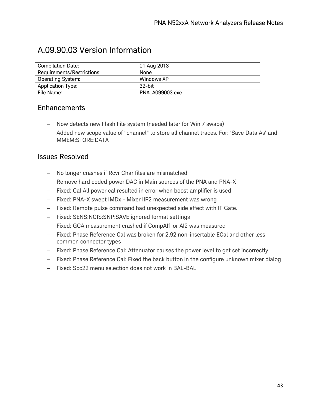### A.09.90.03 Version Information

| Compilation Date:          | 01 Aug 2013     |
|----------------------------|-----------------|
| Requirements/Restrictions: | None            |
| <b>Operating System:</b>   | Windows XP      |
| <b>Application Type:</b>   | $32$ -bit       |
| File Name:                 | PNA A099003.exe |

#### Enhancements

- − Now detects new Flash File system (needed later for Win 7 swaps)
- − Added new scope value of "channel" to store all channel traces. For: 'Save Data As' and MMEM:STORE:DATA

- − No longer crashes if Rcvr Char files are mismatched
- − Remove hard coded power DAC in Main sources of the PNA and PNA-X
- − Fixed: Cal All power cal resulted in error when boost amplifier is used
- − Fixed: PNA-X swept IMDx Mixer IIP2 measurement was wrong
- − Fixed: Remote pulse command had unexpected side effect with IF Gate.
- − Fixed: SENS:NOIS:SNP:SAVE ignored format settings
- − Fixed: GCA measurement crashed if CompAI1 or AI2 was measured
- − Fixed: Phase Reference Cal was broken for 2.92 non-insertable ECal and other less common connector types
- − Fixed: Phase Reference Cal: Attenuator causes the power level to get set incorrectly
- − Fixed: Phase Reference Cal: Fixed the back button in the configure unknown mixer dialog
- − Fixed: Scc22 menu selection does not work in BAL-BAL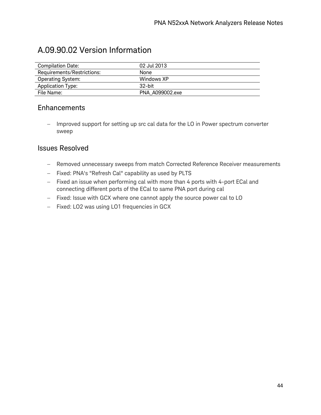$\overline{\phantom{a}}$ 

| <b>Compilation Date:</b>   | 02 Jul 2013     |  |
|----------------------------|-----------------|--|
| Requirements/Restrictions: | None            |  |
| <b>Operating System:</b>   | Windows XP      |  |
| <b>Application Type:</b>   | $32$ -bit       |  |
| File Name:                 | PNA A099002.exe |  |

### A.09.90.02 Version Information

#### Enhancements

− Improved support for setting up src cal data for the LO in Power spectrum converter sweep

- − Removed unnecessary sweeps from match Corrected Reference Receiver measurements
- − Fixed: PNA's "Refresh Cal" capability as used by PLTS
- − Fixed an issue when performing cal with more than 4 ports with 4-port ECal and connecting different ports of the ECal to same PNA port during cal
- − Fixed: Issue with GCX where one cannot apply the source power cal to LO
- − Fixed: LO2 was using LO1 frequencies in GCX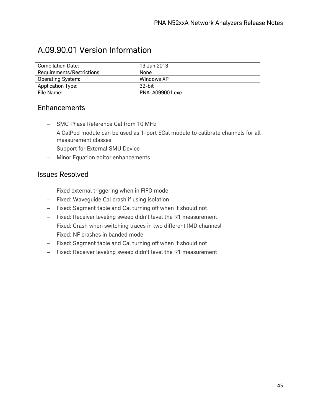### A.09.90.01 Version Information

| <b>Compilation Date:</b>   | 13 Jun 2013     |
|----------------------------|-----------------|
| Requirements/Restrictions: | None            |
| <b>Operating System:</b>   | Windows XP      |
| <b>Application Type:</b>   | $32$ -bit       |
| File Name:                 | PNA A099001.exe |

#### **Enhancements**

- − SMC Phase Reference Cal from 10 MHz
- − A CalPod module can be used as 1-port ECal module to calibrate channels for all measurement classes
- − Support for External SMU Device
- − Minor Equation editor enhancements

- − Fixed external triggering when in FIFO mode
- − Fixed: Waveguide Cal crash if using isolation
- − Fixed: Segment table and Cal turning off when it should not
- − Fixed: Receiver leveling sweep didn't level the R1 measurement.
- − Fixed: Crash when switching traces in two different IMD channesl
- − Fixed: NF crashes in banded mode
- − Fixed: Segment table and Cal turning off when it should not
- − Fixed: Receiver leveling sweep didn't level the R1 measurement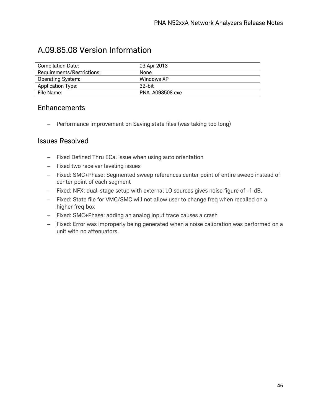### A.09.85.08 Version Information

| <b>Compilation Date:</b>   | 03 Apr 2013     |
|----------------------------|-----------------|
| Requirements/Restrictions: | None            |
| <b>Operating System:</b>   | Windows XP      |
| Application Type:          | 32-bit          |
| File Name:                 | PNA A098508.exe |

#### **Enhancements**

− Performance improvement on Saving state files (was taking too long)

- − Fixed Defined Thru ECal issue when using auto orientation
- − Fixed two receiver leveling issues
- − Fixed: SMC+Phase: Segmented sweep references center point of entire sweep instead of center point of each segment
- − Fixed: NFX: dual-stage setup with external LO sources gives noise figure of -1 dB.
- − Fixed: State file for VMC/SMC will not allow user to change freq when recalled on a higher freq box
- − Fixed: SMC+Phase: adding an analog input trace causes a crash
- − Fixed: Error was improperly being generated when a noise calibration was performed on a unit with no attenuators.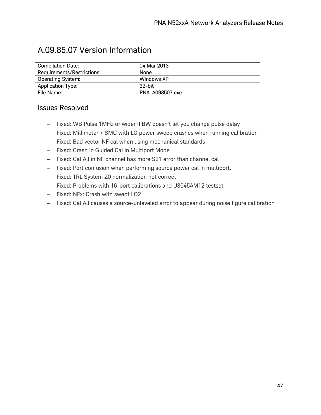### A.09.85.07 Version Information

| <b>Compilation Date:</b>   | 04 Mar 2013     |
|----------------------------|-----------------|
| Requirements/Restrictions: | None            |
| <b>Operating System:</b>   | Windows XP      |
| Application Type:          | $32$ -hit       |
| File Name:                 | PNA A098507.exe |

- − Fixed: WB Pulse 1MHz or wider IFBW doesn't let you change pulse delay
- − Fixed: Millimeter + SMC with LO power sweep crashes when running calibration
- − Fixed: Bad vector NF cal when using mechanical standards
- − Fixed: Crash in Guided Cal in Multiport Mode
- − Fixed: Cal All in NF channel has more S21 error than channel cal
- − Fixed: Port confusion when performing source power cal in multiport.
- − Fixed: TRL System Z0 normalization not correct
- − Fixed: Problems with 16-port calibrations and U3045AM12 testset
- − Fixed: NFx: Crash with swept LO2
- − Fixed: Cal All causes a source-unleveled error to appear during noise figure calibration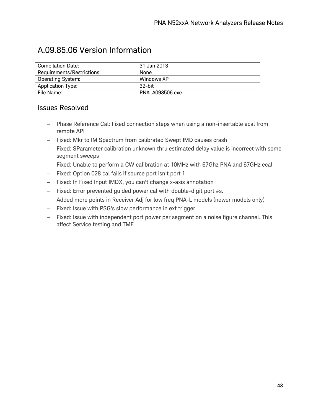### A.09.85.06 Version Information

| <b>Compilation Date:</b>   | 31 Jan 2013     |
|----------------------------|-----------------|
| Requirements/Restrictions: | <b>None</b>     |
| <b>Operating System:</b>   | Windows XP      |
| <b>Application Type:</b>   | $32$ -bit       |
| File Name:                 | PNA A098506.exe |

- − Phase Reference Cal: Fixed connection steps when using a non-insertable ecal from remote API
- − Fixed: Mkr to IM Spectrum from calibrated Swept IMD causes crash
- − Fixed: SParameter calibration unknown thru estimated delay value is incorrect with some segment sweeps
- − Fixed: Unable to perform a CW calibration at 10MHz with 67Ghz PNA and 67GHz ecal
- − Fixed: Option 028 cal fails if source port isn't port 1
- − Fixed: In Fixed Input IMDX, you can't change x-axis annotation
- − Fixed: Error prevented guided power cal with double-digit port #s.
- − Added more points in Receiver Adj for low freq PNA-L models (newer models only)
- − Fixed: Issue with PSG's slow performance in ext trigger
- − Fixed: Issue with independent port power per segment on a noise figure channel. This affect Service testing and TME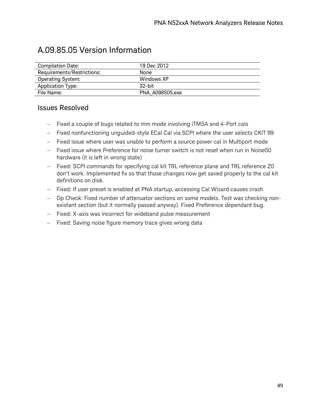### A.09.85.05 Version Information

| Compilation Date:          | 19 Dec 2012     |
|----------------------------|-----------------|
| Requirements/Restrictions: | None            |
| <b>Operating System:</b>   | Windows XP      |
| Application Type:          | $32$ -hit       |
| File Name:                 | PNA A098505.exe |

- − Fixed a couple of bugs related to mm mode involving iTMSA and 4-Port cals
- − Fixed nonfunctioning unguided-style ECal Cal via SCPI where the user selects CKIT 99
- − Fixed issue where user was unable to perform a source power cal in Multiport mode
- − Fixed issue where Preference for noise turner switch is not reset when run in Noise50 hardware (it is left in wrong state)
- − Fixed: SCPI commands for specifying cal kit TRL reference plane and TRL reference Z0 don't work. Implemented fix so that those changes now get saved properly to the cal kit definitions on disk.
- − Fixed: If user preset is enabled at PNA startup, accessing Cal Wizard causes crash
- − Op Check: Fixed number of attenuator sections on some models. Test was checking nonexistant section (but it normally passed anyway). Fixed Preference dependant bug.
- − Fixed: X-axis was incorrect for wideband pulse measurement
- − Fixed: Saving noise figure memory trace gives wrong data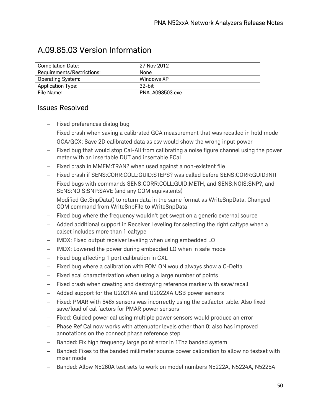| A.09.85.03 Version Information |  |
|--------------------------------|--|
|--------------------------------|--|

| <b>Compilation Date:</b>   | 27 Nov 2012     |
|----------------------------|-----------------|
| Requirements/Restrictions: | None            |
| <b>Operating System:</b>   | Windows XP      |
| <b>Application Type:</b>   | $32$ -bit       |
| File Name:                 | PNA A098503.exe |

- − Fixed preferences dialog bug
- − Fixed crash when saving a calibrated GCA measurement that was recalled in hold mode
- − GCA/GCX: Save 2D calibrated data as csv would show the wrong input power
- − Fixed bug that would stop Cal-All from calibrating a noise figure channel using the power meter with an insertable DUT and insertable ECal
- − Fixed crash in MMEM:TRAN? when used against a non-existent file
- − Fixed crash if SENS:CORR:COLL:GUID:STEPS? was called before SENS:CORR:GUID:INIT
- − Fixed bugs with commands SENS:CORR:COLL:GUID:METH, and SENS:NOIS:SNP?, and SENS:NOIS:SNP:SAVE (and any COM equivalents)
- − Modified GetSnpData() to return data in the same format as WriteSnpData. Changed COM command from WriteSnpFile to WriteSnpData
- − Fixed bug where the frequency wouldn't get swept on a generic external source
- − Added additional support in Receiver Leveling for selecting the right caltype when a calset includes more than 1 caltype
- − IMDX: Fixed output receiver leveling when using embedded LO
- − IMDX: Lowered the power during embedded LO when in safe mode
- − Fixed bug affecting 1 port calibration in CXL
- − Fixed bug where a calibration with FOM ON would always show a C-Delta
- − Fixed ecal characterization when using a large number of points
- − Fixed crash when creating and destroying reference marker with save/recall
- − Added support for the U2021XA and U2022XA USB power sensors
- − Fixed: PMAR with 848x sensors was incorrectly using the calfactor table. Also fixed save/load of cal factors for PMAR power sensors
- − Fixed: Guided power cal using multiple power sensors would produce an error
- − Phase Ref Cal now works with attenuator levels other than 0; also has improved annotations on the connect phase reference step
- Banded: Fix high frequency large point error in 1Thz banded system
- Banded: Fixes to the banded millimeter source power calibration to allow no testset with mixer mode
- Banded: Allow N5260A test sets to work on model numbers N5222A, N5224A, N5225A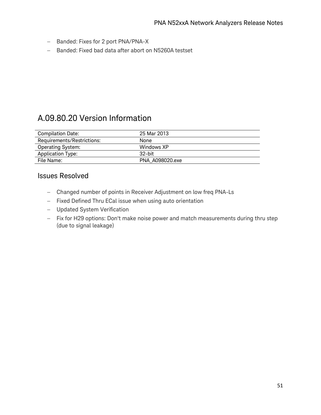- − Banded: Fixes for 2 port PNA/PNA-X
- − Banded: Fixed bad data after abort on N5260A testset

### A.09.80.20 Version Information

| <b>Compilation Date:</b>   | 25 Mar 2013     |
|----------------------------|-----------------|
| Requirements/Restrictions: | None.           |
| <b>Operating System:</b>   | Windows XP      |
| <b>Application Type:</b>   | -32-bit         |
| File Name:                 | PNA A098020.exe |

- − Changed number of points in Receiver Adjustment on low freq PNA-Ls
- − Fixed Defined Thru ECal issue when using auto orientation
- − Updated System Verification
- − Fix for H29 options: Don't make noise power and match measurements during thru step (due to signal leakage)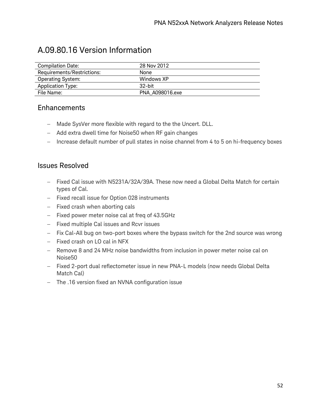### A.09.80.16 Version Information

| <b>Compilation Date:</b>   | 28 Nov 2012     |
|----------------------------|-----------------|
| Requirements/Restrictions: | None            |
| <b>Operating System:</b>   | Windows XP      |
| Application Type:          | $32$ -bit       |
| File Name:                 | PNA A098016.exe |

#### Enhancements

- − Made SysVer more flexible with regard to the the Uncert. DLL.
- − Add extra dwell time for Noise50 when RF gain changes
- − Increase default number of pull states in noise channel from 4 to 5 on hi-frequency boxes

- − Fixed Cal issue with N5231A/32A/39A. These now need a Global Delta Match for certain types of Cal.
- − Fixed recall issue for Option 028 instruments
- − Fixed crash when aborting cals
- − Fixed power meter noise cal at freq of 43.5GHz
- − Fixed multiple Cal issues and Rcvr issues
- − Fix Cal-All bug on two-port boxes where the bypass switch for the 2nd source was wrong
- − Fixed crash on LO cal in NFX
- − Remove 8 and 24 MHz noise bandwidths from inclusion in power meter noise cal on Noise50
- − Fixed 2-port dual reflectometer issue in new PNA-L models (now needs Global Delta Match Cal)
- − The .16 version fixed an NVNA configuration issue